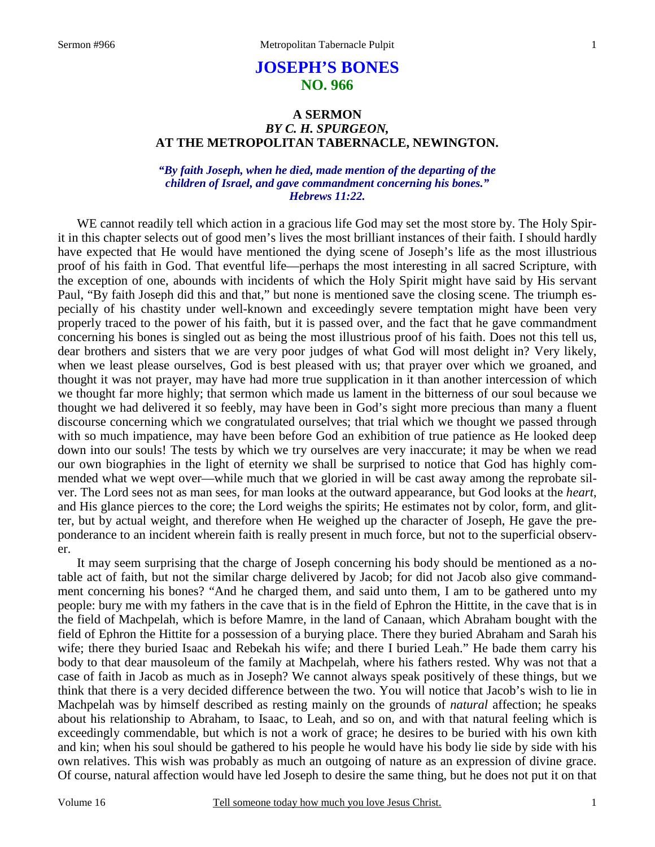# **JOSEPH'S BONES NO. 966**

# **A SERMON**  *BY C. H. SPURGEON,*  **AT THE METROPOLITAN TABERNACLE, NEWINGTON.**

## *"By faith Joseph, when he died, made mention of the departing of the children of Israel, and gave commandment concerning his bones." Hebrews 11:22.*

WE cannot readily tell which action in a gracious life God may set the most store by. The Holy Spirit in this chapter selects out of good men's lives the most brilliant instances of their faith. I should hardly have expected that He would have mentioned the dying scene of Joseph's life as the most illustrious proof of his faith in God. That eventful life—perhaps the most interesting in all sacred Scripture, with the exception of one, abounds with incidents of which the Holy Spirit might have said by His servant Paul, "By faith Joseph did this and that," but none is mentioned save the closing scene. The triumph especially of his chastity under well-known and exceedingly severe temptation might have been very properly traced to the power of his faith, but it is passed over, and the fact that he gave commandment concerning his bones is singled out as being the most illustrious proof of his faith. Does not this tell us, dear brothers and sisters that we are very poor judges of what God will most delight in? Very likely, when we least please ourselves, God is best pleased with us; that prayer over which we groaned, and thought it was not prayer, may have had more true supplication in it than another intercession of which we thought far more highly; that sermon which made us lament in the bitterness of our soul because we thought we had delivered it so feebly, may have been in God's sight more precious than many a fluent discourse concerning which we congratulated ourselves; that trial which we thought we passed through with so much impatience, may have been before God an exhibition of true patience as He looked deep down into our souls! The tests by which we try ourselves are very inaccurate; it may be when we read our own biographies in the light of eternity we shall be surprised to notice that God has highly commended what we wept over—while much that we gloried in will be cast away among the reprobate silver. The Lord sees not as man sees, for man looks at the outward appearance, but God looks at the *heart*, and His glance pierces to the core; the Lord weighs the spirits; He estimates not by color, form, and glitter, but by actual weight, and therefore when He weighed up the character of Joseph, He gave the preponderance to an incident wherein faith is really present in much force, but not to the superficial observer.

It may seem surprising that the charge of Joseph concerning his body should be mentioned as a notable act of faith, but not the similar charge delivered by Jacob; for did not Jacob also give commandment concerning his bones? "And he charged them, and said unto them, I am to be gathered unto my people: bury me with my fathers in the cave that is in the field of Ephron the Hittite, in the cave that is in the field of Machpelah, which is before Mamre, in the land of Canaan, which Abraham bought with the field of Ephron the Hittite for a possession of a burying place. There they buried Abraham and Sarah his wife; there they buried Isaac and Rebekah his wife; and there I buried Leah." He bade them carry his body to that dear mausoleum of the family at Machpelah, where his fathers rested. Why was not that a case of faith in Jacob as much as in Joseph? We cannot always speak positively of these things, but we think that there is a very decided difference between the two. You will notice that Jacob's wish to lie in Machpelah was by himself described as resting mainly on the grounds of *natural* affection; he speaks about his relationship to Abraham, to Isaac, to Leah, and so on, and with that natural feeling which is exceedingly commendable, but which is not a work of grace; he desires to be buried with his own kith and kin; when his soul should be gathered to his people he would have his body lie side by side with his own relatives. This wish was probably as much an outgoing of nature as an expression of divine grace. Of course, natural affection would have led Joseph to desire the same thing, but he does not put it on that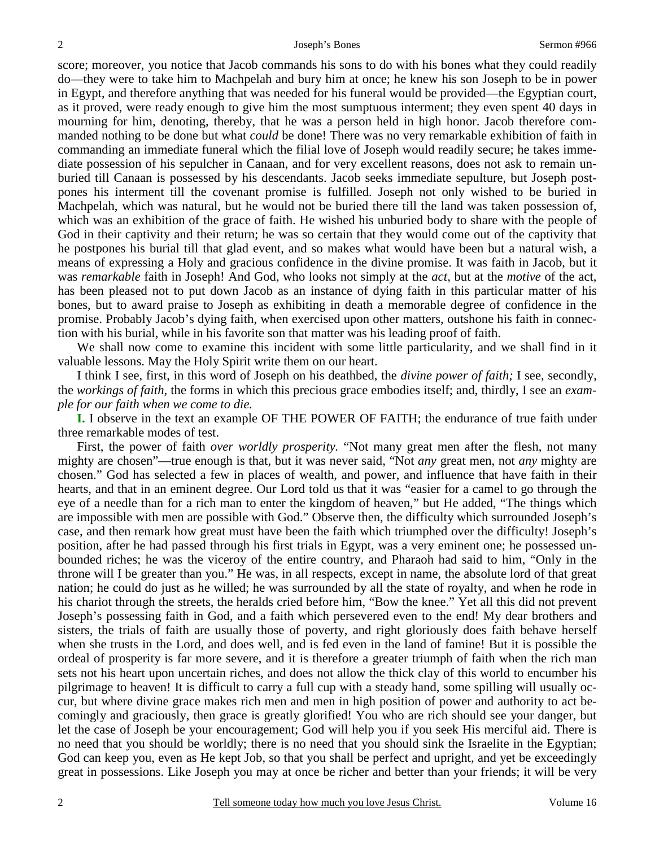score; moreover, you notice that Jacob commands his sons to do with his bones what they could readily do—they were to take him to Machpelah and bury him at once; he knew his son Joseph to be in power in Egypt, and therefore anything that was needed for his funeral would be provided—the Egyptian court, as it proved, were ready enough to give him the most sumptuous interment; they even spent 40 days in mourning for him, denoting, thereby, that he was a person held in high honor. Jacob therefore commanded nothing to be done but what *could* be done! There was no very remarkable exhibition of faith in commanding an immediate funeral which the filial love of Joseph would readily secure; he takes immediate possession of his sepulcher in Canaan, and for very excellent reasons, does not ask to remain unburied till Canaan is possessed by his descendants. Jacob seeks immediate sepulture, but Joseph postpones his interment till the covenant promise is fulfilled. Joseph not only wished to be buried in Machpelah, which was natural, but he would not be buried there till the land was taken possession of, which was an exhibition of the grace of faith. He wished his unburied body to share with the people of God in their captivity and their return; he was so certain that they would come out of the captivity that he postpones his burial till that glad event, and so makes what would have been but a natural wish, a means of expressing a Holy and gracious confidence in the divine promise. It was faith in Jacob, but it was *remarkable* faith in Joseph! And God, who looks not simply at the *act*, but at the *motive* of the act, has been pleased not to put down Jacob as an instance of dying faith in this particular matter of his bones, but to award praise to Joseph as exhibiting in death a memorable degree of confidence in the promise. Probably Jacob's dying faith, when exercised upon other matters, outshone his faith in connection with his burial, while in his favorite son that matter was his leading proof of faith.

We shall now come to examine this incident with some little particularity, and we shall find in it valuable lessons. May the Holy Spirit write them on our heart.

I think I see, first, in this word of Joseph on his deathbed, the *divine power of faith;* I see, secondly, the *workings of faith,* the forms in which this precious grace embodies itself; and, thirdly, I see an *example for our faith when we come to die.* 

**I.** I observe in the text an example OF THE POWER OF FAITH; the endurance of true faith under three remarkable modes of test.

First, the power of faith *over worldly prosperity.* "Not many great men after the flesh, not many mighty are chosen"—true enough is that, but it was never said, "Not *any* great men, not *any* mighty are chosen." God has selected a few in places of wealth, and power, and influence that have faith in their hearts, and that in an eminent degree. Our Lord told us that it was "easier for a camel to go through the eye of a needle than for a rich man to enter the kingdom of heaven," but He added, "The things which are impossible with men are possible with God." Observe then, the difficulty which surrounded Joseph's case, and then remark how great must have been the faith which triumphed over the difficulty! Joseph's position, after he had passed through his first trials in Egypt, was a very eminent one; he possessed unbounded riches; he was the viceroy of the entire country, and Pharaoh had said to him, "Only in the throne will I be greater than you." He was, in all respects, except in name, the absolute lord of that great nation; he could do just as he willed; he was surrounded by all the state of royalty, and when he rode in his chariot through the streets, the heralds cried before him, "Bow the knee." Yet all this did not prevent Joseph's possessing faith in God, and a faith which persevered even to the end! My dear brothers and sisters, the trials of faith are usually those of poverty, and right gloriously does faith behave herself when she trusts in the Lord, and does well, and is fed even in the land of famine! But it is possible the ordeal of prosperity is far more severe, and it is therefore a greater triumph of faith when the rich man sets not his heart upon uncertain riches, and does not allow the thick clay of this world to encumber his pilgrimage to heaven! It is difficult to carry a full cup with a steady hand, some spilling will usually occur, but where divine grace makes rich men and men in high position of power and authority to act becomingly and graciously, then grace is greatly glorified! You who are rich should see your danger, but let the case of Joseph be your encouragement; God will help you if you seek His merciful aid. There is no need that you should be worldly; there is no need that you should sink the Israelite in the Egyptian; God can keep you, even as He kept Job, so that you shall be perfect and upright, and yet be exceedingly great in possessions. Like Joseph you may at once be richer and better than your friends; it will be very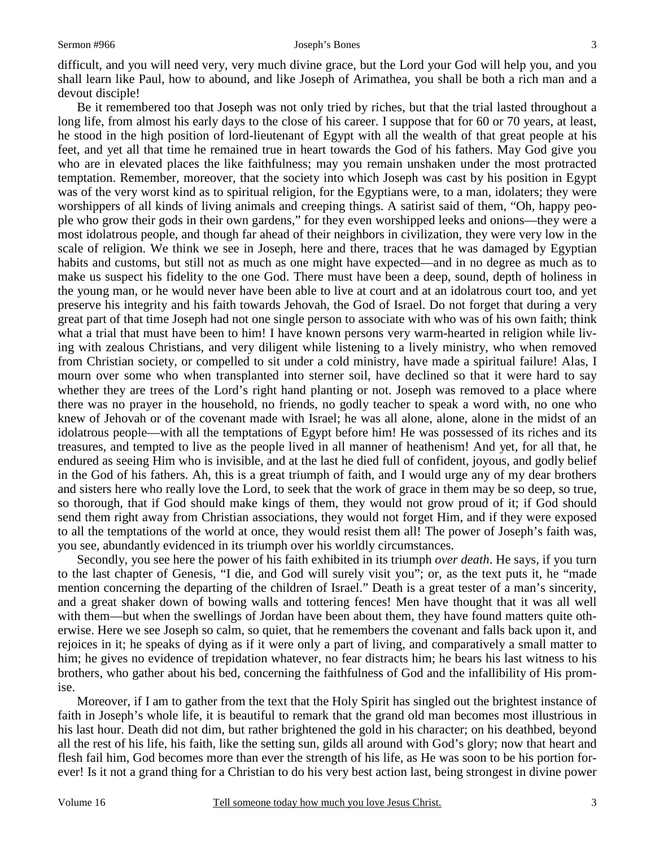difficult, and you will need very, very much divine grace, but the Lord your God will help you, and you shall learn like Paul, how to abound, and like Joseph of Arimathea, you shall be both a rich man and a devout disciple!

Be it remembered too that Joseph was not only tried by riches, but that the trial lasted throughout a long life, from almost his early days to the close of his career. I suppose that for 60 or 70 years, at least, he stood in the high position of lord-lieutenant of Egypt with all the wealth of that great people at his feet, and yet all that time he remained true in heart towards the God of his fathers. May God give you who are in elevated places the like faithfulness; may you remain unshaken under the most protracted temptation. Remember, moreover, that the society into which Joseph was cast by his position in Egypt was of the very worst kind as to spiritual religion, for the Egyptians were, to a man, idolaters; they were worshippers of all kinds of living animals and creeping things. A satirist said of them, "Oh, happy people who grow their gods in their own gardens," for they even worshipped leeks and onions—they were a most idolatrous people, and though far ahead of their neighbors in civilization, they were very low in the scale of religion. We think we see in Joseph, here and there, traces that he was damaged by Egyptian habits and customs, but still not as much as one might have expected—and in no degree as much as to make us suspect his fidelity to the one God. There must have been a deep, sound, depth of holiness in the young man, or he would never have been able to live at court and at an idolatrous court too, and yet preserve his integrity and his faith towards Jehovah, the God of Israel. Do not forget that during a very great part of that time Joseph had not one single person to associate with who was of his own faith; think what a trial that must have been to him! I have known persons very warm-hearted in religion while living with zealous Christians, and very diligent while listening to a lively ministry, who when removed from Christian society, or compelled to sit under a cold ministry, have made a spiritual failure! Alas, I mourn over some who when transplanted into sterner soil, have declined so that it were hard to say whether they are trees of the Lord's right hand planting or not. Joseph was removed to a place where there was no prayer in the household, no friends, no godly teacher to speak a word with, no one who knew of Jehovah or of the covenant made with Israel; he was all alone, alone, alone in the midst of an idolatrous people—with all the temptations of Egypt before him! He was possessed of its riches and its treasures, and tempted to live as the people lived in all manner of heathenism! And yet, for all that, he endured as seeing Him who is invisible, and at the last he died full of confident, joyous, and godly belief in the God of his fathers. Ah, this is a great triumph of faith, and I would urge any of my dear brothers and sisters here who really love the Lord, to seek that the work of grace in them may be so deep, so true, so thorough, that if God should make kings of them, they would not grow proud of it; if God should send them right away from Christian associations, they would not forget Him, and if they were exposed to all the temptations of the world at once, they would resist them all! The power of Joseph's faith was, you see, abundantly evidenced in its triumph over his worldly circumstances.

Secondly, you see here the power of his faith exhibited in its triumph *over death*. He says, if you turn to the last chapter of Genesis, "I die, and God will surely visit you"; or, as the text puts it, he "made mention concerning the departing of the children of Israel." Death is a great tester of a man's sincerity, and a great shaker down of bowing walls and tottering fences! Men have thought that it was all well with them—but when the swellings of Jordan have been about them, they have found matters quite otherwise. Here we see Joseph so calm, so quiet, that he remembers the covenant and falls back upon it, and rejoices in it; he speaks of dying as if it were only a part of living, and comparatively a small matter to him; he gives no evidence of trepidation whatever, no fear distracts him; he bears his last witness to his brothers, who gather about his bed, concerning the faithfulness of God and the infallibility of His promise.

Moreover, if I am to gather from the text that the Holy Spirit has singled out the brightest instance of faith in Joseph's whole life, it is beautiful to remark that the grand old man becomes most illustrious in his last hour. Death did not dim, but rather brightened the gold in his character; on his deathbed, beyond all the rest of his life, his faith, like the setting sun, gilds all around with God's glory; now that heart and flesh fail him, God becomes more than ever the strength of his life, as He was soon to be his portion forever! Is it not a grand thing for a Christian to do his very best action last, being strongest in divine power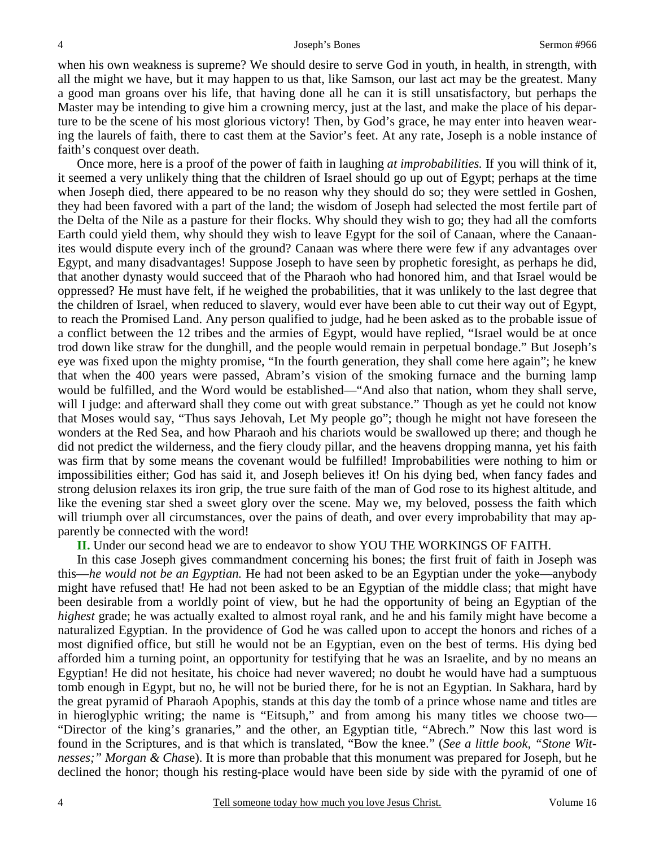when his own weakness is supreme? We should desire to serve God in youth, in health, in strength, with all the might we have, but it may happen to us that, like Samson, our last act may be the greatest. Many a good man groans over his life, that having done all he can it is still unsatisfactory, but perhaps the Master may be intending to give him a crowning mercy, just at the last, and make the place of his departure to be the scene of his most glorious victory! Then, by God's grace, he may enter into heaven wearing the laurels of faith, there to cast them at the Savior's feet. At any rate, Joseph is a noble instance of faith's conquest over death.

Once more, here is a proof of the power of faith in laughing *at improbabilities.* If you will think of it, it seemed a very unlikely thing that the children of Israel should go up out of Egypt; perhaps at the time when Joseph died, there appeared to be no reason why they should do so; they were settled in Goshen, they had been favored with a part of the land; the wisdom of Joseph had selected the most fertile part of the Delta of the Nile as a pasture for their flocks. Why should they wish to go; they had all the comforts Earth could yield them, why should they wish to leave Egypt for the soil of Canaan, where the Canaanites would dispute every inch of the ground? Canaan was where there were few if any advantages over Egypt, and many disadvantages! Suppose Joseph to have seen by prophetic foresight, as perhaps he did, that another dynasty would succeed that of the Pharaoh who had honored him, and that Israel would be oppressed? He must have felt, if he weighed the probabilities, that it was unlikely to the last degree that the children of Israel, when reduced to slavery, would ever have been able to cut their way out of Egypt, to reach the Promised Land. Any person qualified to judge, had he been asked as to the probable issue of a conflict between the 12 tribes and the armies of Egypt, would have replied, "Israel would be at once trod down like straw for the dunghill, and the people would remain in perpetual bondage." But Joseph's eye was fixed upon the mighty promise, "In the fourth generation, they shall come here again"; he knew that when the 400 years were passed, Abram's vision of the smoking furnace and the burning lamp would be fulfilled, and the Word would be established—"And also that nation, whom they shall serve, will I judge: and afterward shall they come out with great substance." Though as yet he could not know that Moses would say, "Thus says Jehovah, Let My people go"; though he might not have foreseen the wonders at the Red Sea, and how Pharaoh and his chariots would be swallowed up there; and though he did not predict the wilderness, and the fiery cloudy pillar, and the heavens dropping manna, yet his faith was firm that by some means the covenant would be fulfilled! Improbabilities were nothing to him or impossibilities either; God has said it, and Joseph believes it! On his dying bed, when fancy fades and strong delusion relaxes its iron grip, the true sure faith of the man of God rose to its highest altitude, and like the evening star shed a sweet glory over the scene. May we, my beloved, possess the faith which will triumph over all circumstances, over the pains of death, and over every improbability that may apparently be connected with the word!

#### **II.** Under our second head we are to endeavor to show YOU THE WORKINGS OF FAITH.

In this case Joseph gives commandment concerning his bones; the first fruit of faith in Joseph was this—*he would not be an Egyptian.* He had not been asked to be an Egyptian under the yoke—anybody might have refused that! He had not been asked to be an Egyptian of the middle class; that might have been desirable from a worldly point of view, but he had the opportunity of being an Egyptian of the *highest* grade; he was actually exalted to almost royal rank, and he and his family might have become a naturalized Egyptian. In the providence of God he was called upon to accept the honors and riches of a most dignified office, but still he would not be an Egyptian, even on the best of terms. His dying bed afforded him a turning point, an opportunity for testifying that he was an Israelite, and by no means an Egyptian! He did not hesitate, his choice had never wavered; no doubt he would have had a sumptuous tomb enough in Egypt, but no, he will not be buried there, for he is not an Egyptian. In Sakhara, hard by the great pyramid of Pharaoh Apophis, stands at this day the tomb of a prince whose name and titles are in hieroglyphic writing; the name is "Eitsuph," and from among his many titles we choose two— "Director of the king's granaries," and the other, an Egyptian title, "Abrech." Now this last word is found in the Scriptures, and is that which is translated, "Bow the knee." (*See a little book, "Stone Witnesses;" Morgan & Chas*e). It is more than probable that this monument was prepared for Joseph, but he declined the honor; though his resting-place would have been side by side with the pyramid of one of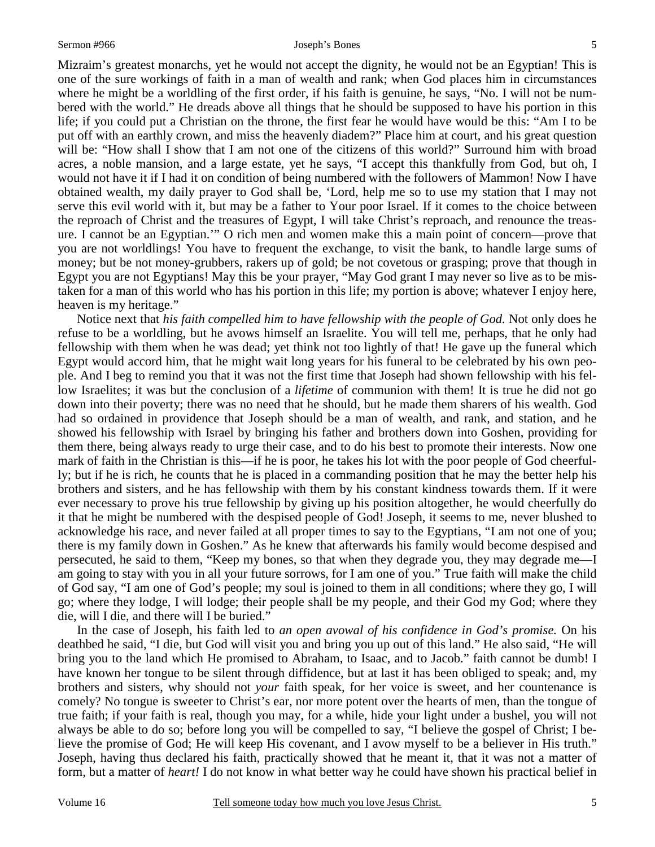Mizraim's greatest monarchs, yet he would not accept the dignity, he would not be an Egyptian! This is one of the sure workings of faith in a man of wealth and rank; when God places him in circumstances where he might be a worldling of the first order, if his faith is genuine, he says, "No. I will not be numbered with the world." He dreads above all things that he should be supposed to have his portion in this life; if you could put a Christian on the throne, the first fear he would have would be this: "Am I to be put off with an earthly crown, and miss the heavenly diadem?" Place him at court, and his great question will be: "How shall I show that I am not one of the citizens of this world?" Surround him with broad acres, a noble mansion, and a large estate, yet he says, "I accept this thankfully from God, but oh, I would not have it if I had it on condition of being numbered with the followers of Mammon! Now I have obtained wealth, my daily prayer to God shall be, 'Lord, help me so to use my station that I may not serve this evil world with it, but may be a father to Your poor Israel. If it comes to the choice between the reproach of Christ and the treasures of Egypt, I will take Christ's reproach, and renounce the treasure. I cannot be an Egyptian.'" O rich men and women make this a main point of concern—prove that you are not worldlings! You have to frequent the exchange, to visit the bank, to handle large sums of money; but be not money-grubbers, rakers up of gold; be not covetous or grasping; prove that though in Egypt you are not Egyptians! May this be your prayer, "May God grant I may never so live as to be mistaken for a man of this world who has his portion in this life; my portion is above; whatever I enjoy here, heaven is my heritage."

Notice next that *his faith compelled him to have fellowship with the people of God.* Not only does he refuse to be a worldling, but he avows himself an Israelite. You will tell me, perhaps, that he only had fellowship with them when he was dead; yet think not too lightly of that! He gave up the funeral which Egypt would accord him, that he might wait long years for his funeral to be celebrated by his own people. And I beg to remind you that it was not the first time that Joseph had shown fellowship with his fellow Israelites; it was but the conclusion of a *lifetime* of communion with them! It is true he did not go down into their poverty; there was no need that he should, but he made them sharers of his wealth. God had so ordained in providence that Joseph should be a man of wealth, and rank, and station, and he showed his fellowship with Israel by bringing his father and brothers down into Goshen, providing for them there, being always ready to urge their case, and to do his best to promote their interests. Now one mark of faith in the Christian is this—if he is poor, he takes his lot with the poor people of God cheerfully; but if he is rich, he counts that he is placed in a commanding position that he may the better help his brothers and sisters, and he has fellowship with them by his constant kindness towards them. If it were ever necessary to prove his true fellowship by giving up his position altogether, he would cheerfully do it that he might be numbered with the despised people of God! Joseph, it seems to me, never blushed to acknowledge his race, and never failed at all proper times to say to the Egyptians, "I am not one of you; there is my family down in Goshen." As he knew that afterwards his family would become despised and persecuted, he said to them, "Keep my bones, so that when they degrade you, they may degrade me—I am going to stay with you in all your future sorrows, for I am one of you." True faith will make the child of God say, "I am one of God's people; my soul is joined to them in all conditions; where they go, I will go; where they lodge, I will lodge; their people shall be my people, and their God my God; where they die, will I die, and there will I be buried."

In the case of Joseph, his faith led to *an open avowal of his confidence in God's promise.* On his deathbed he said, "I die, but God will visit you and bring you up out of this land." He also said, "He will bring you to the land which He promised to Abraham, to Isaac, and to Jacob." faith cannot be dumb! I have known her tongue to be silent through diffidence, but at last it has been obliged to speak; and, my brothers and sisters, why should not *your* faith speak, for her voice is sweet, and her countenance is comely? No tongue is sweeter to Christ's ear, nor more potent over the hearts of men, than the tongue of true faith; if your faith is real, though you may, for a while, hide your light under a bushel, you will not always be able to do so; before long you will be compelled to say, "I believe the gospel of Christ; I believe the promise of God; He will keep His covenant, and I avow myself to be a believer in His truth." Joseph, having thus declared his faith, practically showed that he meant it, that it was not a matter of form, but a matter of *heart!* I do not know in what better way he could have shown his practical belief in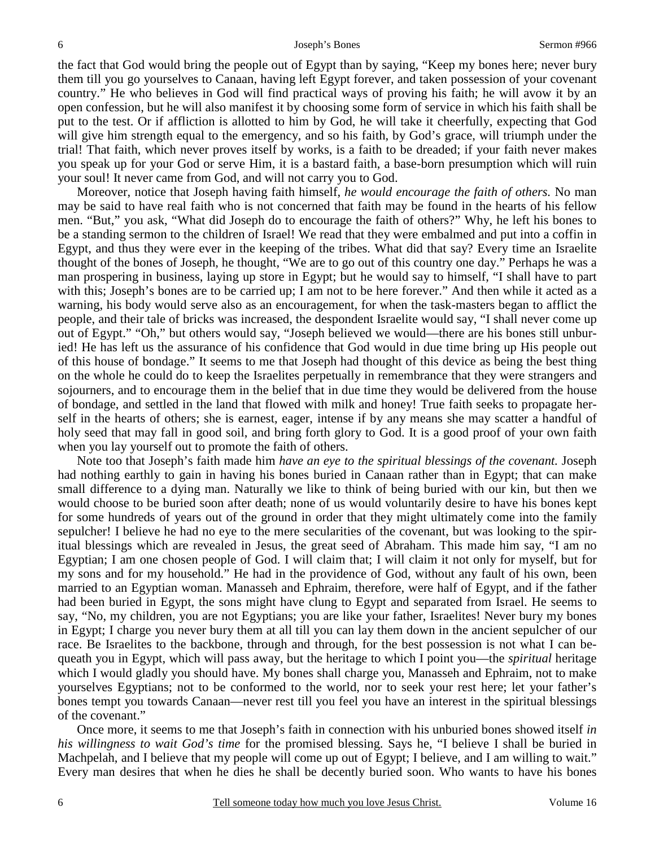the fact that God would bring the people out of Egypt than by saying, "Keep my bones here; never bury them till you go yourselves to Canaan, having left Egypt forever, and taken possession of your covenant country." He who believes in God will find practical ways of proving his faith; he will avow it by an open confession, but he will also manifest it by choosing some form of service in which his faith shall be put to the test. Or if affliction is allotted to him by God, he will take it cheerfully, expecting that God will give him strength equal to the emergency, and so his faith, by God's grace, will triumph under the trial! That faith, which never proves itself by works, is a faith to be dreaded; if your faith never makes you speak up for your God or serve Him, it is a bastard faith, a base-born presumption which will ruin your soul! It never came from God, and will not carry you to God.

Moreover, notice that Joseph having faith himself, *he would encourage the faith of others.* No man may be said to have real faith who is not concerned that faith may be found in the hearts of his fellow men. "But," you ask, "What did Joseph do to encourage the faith of others?" Why, he left his bones to be a standing sermon to the children of Israel! We read that they were embalmed and put into a coffin in Egypt, and thus they were ever in the keeping of the tribes. What did that say? Every time an Israelite thought of the bones of Joseph, he thought, "We are to go out of this country one day." Perhaps he was a man prospering in business, laying up store in Egypt; but he would say to himself, "I shall have to part with this; Joseph's bones are to be carried up; I am not to be here forever." And then while it acted as a warning, his body would serve also as an encouragement, for when the task-masters began to afflict the people, and their tale of bricks was increased, the despondent Israelite would say, "I shall never come up out of Egypt." "Oh," but others would say, "Joseph believed we would—there are his bones still unburied! He has left us the assurance of his confidence that God would in due time bring up His people out of this house of bondage." It seems to me that Joseph had thought of this device as being the best thing on the whole he could do to keep the Israelites perpetually in remembrance that they were strangers and sojourners, and to encourage them in the belief that in due time they would be delivered from the house of bondage, and settled in the land that flowed with milk and honey! True faith seeks to propagate herself in the hearts of others; she is earnest, eager, intense if by any means she may scatter a handful of holy seed that may fall in good soil, and bring forth glory to God. It is a good proof of your own faith when you lay yourself out to promote the faith of others.

Note too that Joseph's faith made him *have an eye to the spiritual blessings of the covenant.* Joseph had nothing earthly to gain in having his bones buried in Canaan rather than in Egypt; that can make small difference to a dying man. Naturally we like to think of being buried with our kin, but then we would choose to be buried soon after death; none of us would voluntarily desire to have his bones kept for some hundreds of years out of the ground in order that they might ultimately come into the family sepulcher! I believe he had no eye to the mere secularities of the covenant, but was looking to the spiritual blessings which are revealed in Jesus, the great seed of Abraham. This made him say, "I am no Egyptian; I am one chosen people of God. I will claim that; I will claim it not only for myself, but for my sons and for my household." He had in the providence of God, without any fault of his own, been married to an Egyptian woman. Manasseh and Ephraim, therefore, were half of Egypt, and if the father had been buried in Egypt, the sons might have clung to Egypt and separated from Israel. He seems to say, "No, my children, you are not Egyptians; you are like your father, Israelites! Never bury my bones in Egypt; I charge you never bury them at all till you can lay them down in the ancient sepulcher of our race. Be Israelites to the backbone, through and through, for the best possession is not what I can bequeath you in Egypt, which will pass away, but the heritage to which I point you—the *spiritual* heritage which I would gladly you should have. My bones shall charge you, Manasseh and Ephraim, not to make yourselves Egyptians; not to be conformed to the world, nor to seek your rest here; let your father's bones tempt you towards Canaan—never rest till you feel you have an interest in the spiritual blessings of the covenant."

Once more, it seems to me that Joseph's faith in connection with his unburied bones showed itself *in his willingness to wait God's time* for the promised blessing. Says he, "I believe I shall be buried in Machpelah, and I believe that my people will come up out of Egypt; I believe, and I am willing to wait." Every man desires that when he dies he shall be decently buried soon. Who wants to have his bones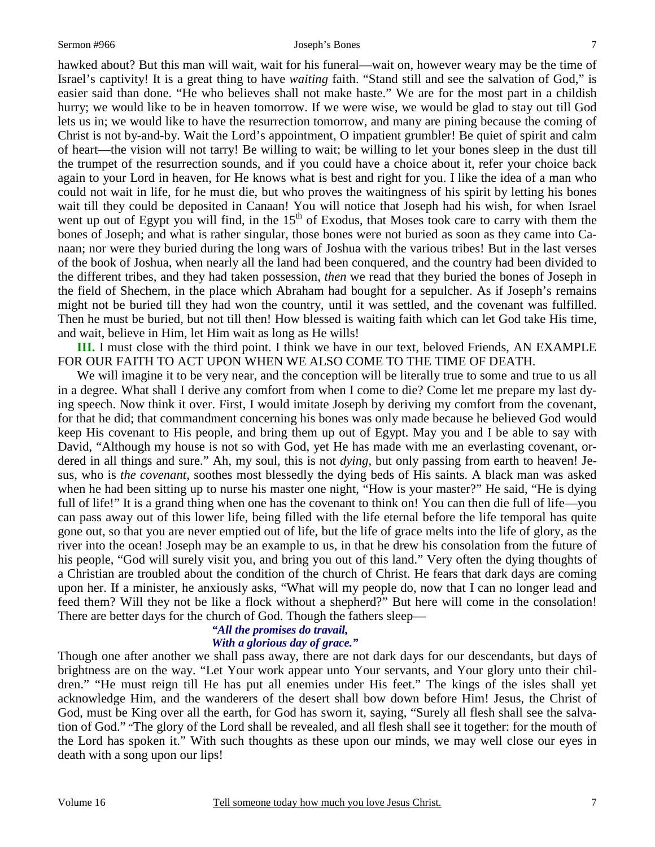hawked about? But this man will wait, wait for his funeral—wait on, however weary may be the time of Israel's captivity! It is a great thing to have *waiting* faith. "Stand still and see the salvation of God," is easier said than done. "He who believes shall not make haste." We are for the most part in a childish hurry; we would like to be in heaven tomorrow. If we were wise, we would be glad to stay out till God lets us in; we would like to have the resurrection tomorrow, and many are pining because the coming of Christ is not by-and-by. Wait the Lord's appointment, O impatient grumbler! Be quiet of spirit and calm of heart—the vision will not tarry! Be willing to wait; be willing to let your bones sleep in the dust till the trumpet of the resurrection sounds, and if you could have a choice about it, refer your choice back again to your Lord in heaven, for He knows what is best and right for you. I like the idea of a man who could not wait in life, for he must die, but who proves the waitingness of his spirit by letting his bones wait till they could be deposited in Canaan! You will notice that Joseph had his wish, for when Israel went up out of Egypt you will find, in the  $15<sup>th</sup>$  of Exodus, that Moses took care to carry with them the bones of Joseph; and what is rather singular, those bones were not buried as soon as they came into Canaan; nor were they buried during the long wars of Joshua with the various tribes! But in the last verses of the book of Joshua, when nearly all the land had been conquered, and the country had been divided to the different tribes, and they had taken possession, *then* we read that they buried the bones of Joseph in the field of Shechem, in the place which Abraham had bought for a sepulcher. As if Joseph's remains might not be buried till they had won the country, until it was settled, and the covenant was fulfilled. Then he must be buried, but not till then! How blessed is waiting faith which can let God take His time, and wait, believe in Him, let Him wait as long as He wills!

**III.** I must close with the third point. I think we have in our text, beloved Friends, AN EXAMPLE FOR OUR FAITH TO ACT UPON WHEN WE ALSO COME TO THE TIME OF DEATH.

We will imagine it to be very near, and the conception will be literally true to some and true to us all in a degree. What shall I derive any comfort from when I come to die? Come let me prepare my last dying speech. Now think it over. First, I would imitate Joseph by deriving my comfort from the covenant, for that he did; that commandment concerning his bones was only made because he believed God would keep His covenant to His people, and bring them up out of Egypt. May you and I be able to say with David, "Although my house is not so with God, yet He has made with me an everlasting covenant, ordered in all things and sure." Ah, my soul, this is not *dying*, but only passing from earth to heaven! Jesus, who is *the covenant,* soothes most blessedly the dying beds of His saints. A black man was asked when he had been sitting up to nurse his master one night, "How is your master?" He said, "He is dying full of life!" It is a grand thing when one has the covenant to think on! You can then die full of life—you can pass away out of this lower life, being filled with the life eternal before the life temporal has quite gone out, so that you are never emptied out of life, but the life of grace melts into the life of glory, as the river into the ocean! Joseph may be an example to us, in that he drew his consolation from the future of his people, "God will surely visit you, and bring you out of this land." Very often the dying thoughts of a Christian are troubled about the condition of the church of Christ. He fears that dark days are coming upon her. If a minister, he anxiously asks, "What will my people do, now that I can no longer lead and feed them? Will they not be like a flock without a shepherd?" But here will come in the consolation! There are better days for the church of God. Though the fathers sleep—

#### *"All the promises do travail, With a glorious day of grace."*

Though one after another we shall pass away, there are not dark days for our descendants, but days of brightness are on the way. "Let Your work appear unto Your servants, and Your glory unto their children." "He must reign till He has put all enemies under His feet." The kings of the isles shall yet acknowledge Him, and the wanderers of the desert shall bow down before Him! Jesus, the Christ of God, must be King over all the earth, for God has sworn it, saying, "Surely all flesh shall see the salvation of God." "The glory of the Lord shall be revealed, and all flesh shall see it together: for the mouth of the Lord has spoken it." With such thoughts as these upon our minds, we may well close our eyes in death with a song upon our lips!